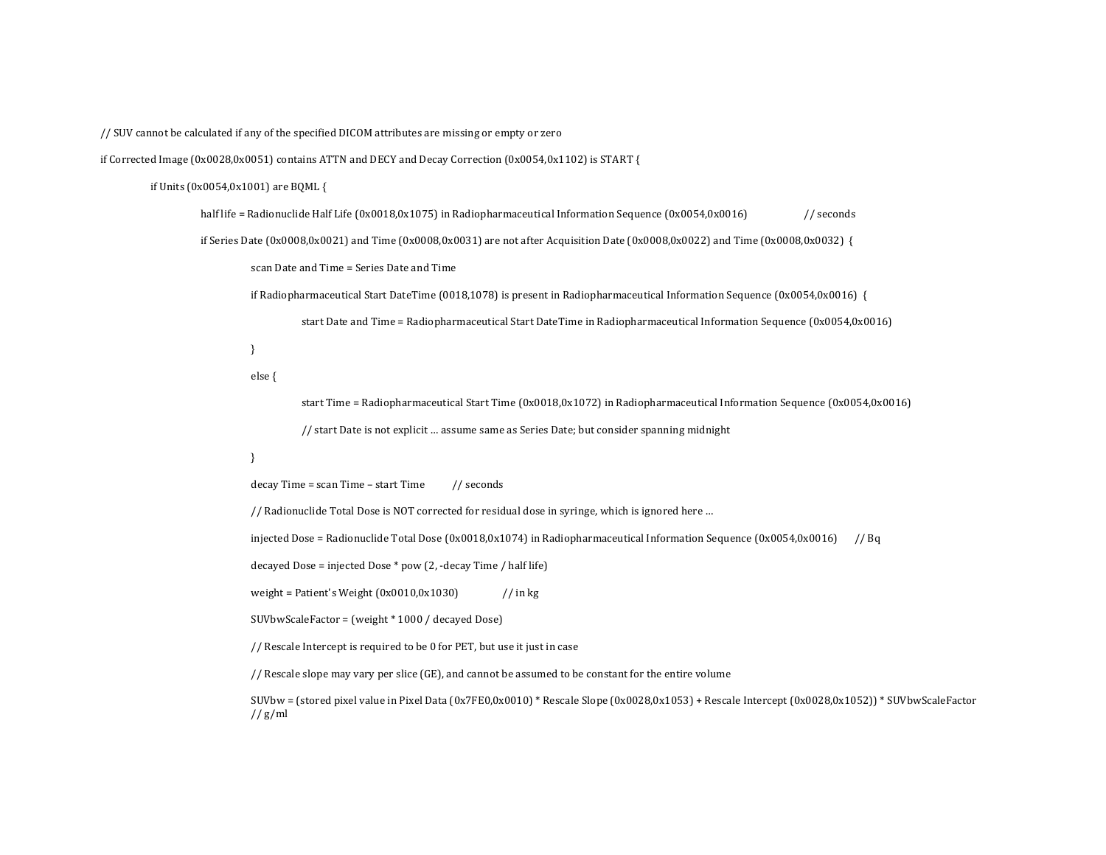// SUV cannot be calculated if any of the specified DICOM attributes are missing or empty or zero

if Corrected Image  $(0x0028,0x0051)$  contains ATTN and DECY and Decay Correction  $(0x0054,0x1102)$  is START {

if Units  $(0x0054,0x1001)$  are BQML {

half life = Radionuclide Half Life (0x0018,0x1075) in Radiopharmaceutical Information Sequence (0x0054,0x0016) // seconds

if Series Date  $(0x0008,0x0021)$  and Time  $(0x0008,0x0031)$  are not after Acquisition Date  $(0x0008,0x0022)$  and Time  $(0x0008,0x0032)$  {

scan Date and Time = Series Date and Time

if Radiopharmaceutical Start DateTime (0018,1078) is present in Radiopharmaceutical Information Sequence (0x0054,0x0016) {

start Date and Time = Radiopharmaceutical Start DateTime in Radiopharmaceutical Information Sequence (0x0054,0x0016)

}

else {

start Time = Radiopharmaceutical Start Time  $(0x0018,0x1072)$  in Radiopharmaceutical Information Sequence  $(0x0054,0x0016)$ // start Date is not explicit  $\ldots$  assume same as Series Date; but consider spanning midnight

}

 $decay Time = scan Time - start Time$  // seconds

// Radionuclide Total Dose is NOT corrected for residual dose in syringe, which is ignored here ...

injected Dose = Radionuclide Total Dose  $(0x0018,0x1074)$  in Radiopharmaceutical Information Sequence  $(0x0054,0x0016)$  // Bq

decayed Dose = injected Dose  $*$  pow (2, -decay Time / half life)

weight = Patient's Weight  $(0x0010,0x1030)$  // in kg

SUVbwScaleFactor = (weight \* 1000 / decayed Dose)

// Rescale Intercept is required to be 0 for PET, but use it just in case

// Rescale slope may vary per slice  $(GE)$ , and cannot be assumed to be constant for the entire volume

 $SUVbw = (stored pixel value in Pixel Data (0x7FE0,0x0010)*Rescale Slope (0x0028,0x1053) + Rescale Intercept (0x0028,0x1052)) * SUVbwScaleFactor$  $// g/ml$